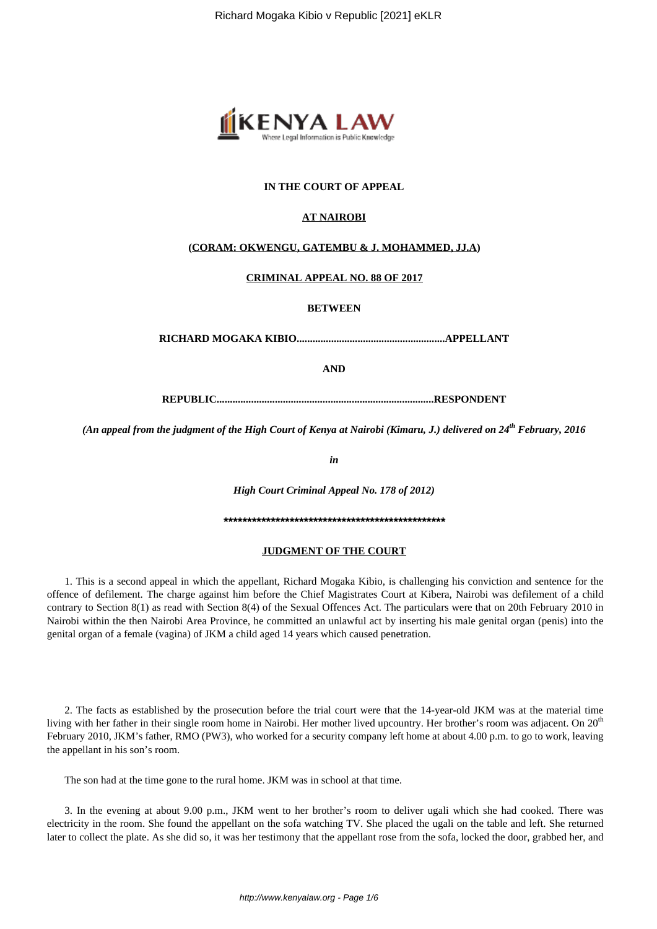

# **IN THE COURT OF APPEAL**

# **AT NAIROBI**

### **(CORAM: OKWENGU, GATEMBU & J. MOHAMMED, JJ.A)**

### **CRIMINAL APPEAL NO. 88 OF 2017**

**BETWEEN**

**RICHARD MOGAKA KIBIO........................................................APPELLANT**

**AND**

**REPUBLIC..................................................................................RESPONDENT**

*(An appeal from the judgment of the High Court of Kenya at Nairobi (Kimaru, J.) delivered on 24th February, 2016*

*in*

*High Court Criminal Appeal No. 178 of 2012)*

**\*\*\*\*\*\*\*\*\*\*\*\*\*\*\*\*\*\*\*\*\*\*\*\*\*\*\*\*\*\*\*\*\*\*\*\*\*\*\*\*\*\*\*\*\*\*\***

### **JUDGMENT OF THE COURT**

1. This is a second appeal in which the appellant, Richard Mogaka Kibio, is challenging his conviction and sentence for the offence of defilement. The charge against him before the Chief Magistrates Court at Kibera, Nairobi was defilement of a child contrary to Section 8(1) as read with Section 8(4) of the Sexual Offences Act. The particulars were that on 20th February 2010 in Nairobi within the then Nairobi Area Province, he committed an unlawful act by inserting his male genital organ (penis) into the genital organ of a female (vagina) of JKM a child aged 14 years which caused penetration.

2. The facts as established by the prosecution before the trial court were that the 14-year-old JKM was at the material time living with her father in their single room home in Nairobi. Her mother lived upcountry. Her brother's room was adjacent. On 20<sup>th</sup> February 2010, JKM's father, RMO (PW3), who worked for a security company left home at about 4.00 p.m. to go to work, leaving the appellant in his son's room.

The son had at the time gone to the rural home. JKM was in school at that time.

3. In the evening at about 9.00 p.m., JKM went to her brother's room to deliver ugali which she had cooked. There was electricity in the room. She found the appellant on the sofa watching TV. She placed the ugali on the table and left. She returned later to collect the plate. As she did so, it was her testimony that the appellant rose from the sofa, locked the door, grabbed her, and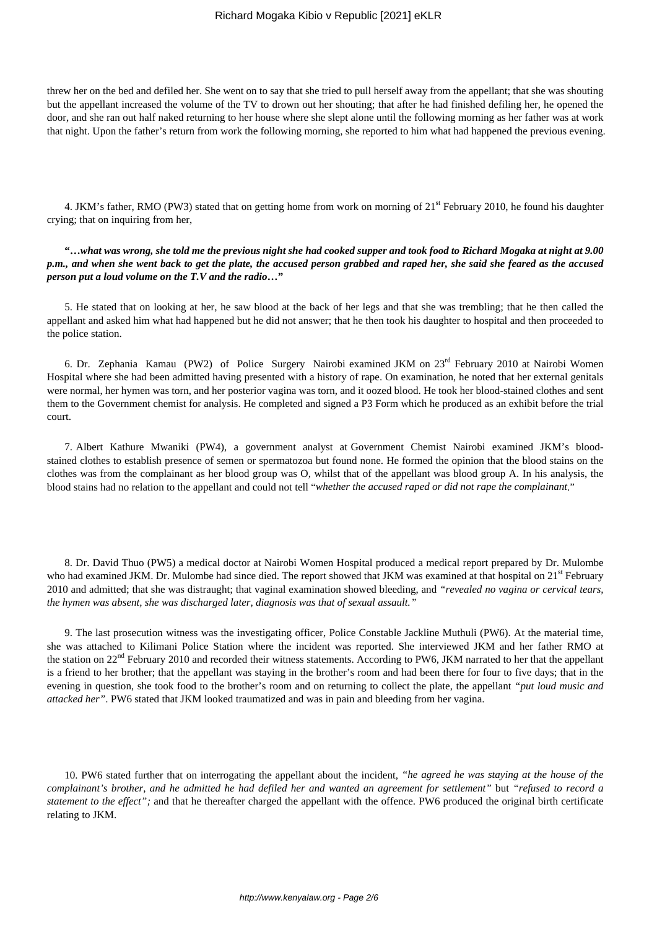threw her on the bed and defiled her. She went on to say that she tried to pull herself away from the appellant; that she was shouting but the appellant increased the volume of the TV to drown out her shouting; that after he had finished defiling her, he opened the door, and she ran out half naked returning to her house where she slept alone until the following morning as her father was at work that night. Upon the father's return from work the following morning, she reported to him what had happened the previous evening.

4. JKM's father, RMO (PW3) stated that on getting home from work on morning of 21<sup>st</sup> February 2010, he found his daughter crying; that on inquiring from her,

**"…***what was wrong, she told me the previous night she had cooked supper and took food to Richard Mogaka at night at 9.00 p.m., and when she went back to get the plate, the accused person grabbed and raped her, she said she feared as the accused person put a loud volume on the T.V and the radio***…"**

5. He stated that on looking at her, he saw blood at the back of her legs and that she was trembling; that he then called the appellant and asked him what had happened but he did not answer; that he then took his daughter to hospital and then proceeded to the police station.

6. Dr. Zephania Kamau (PW2) of Police Surgery Nairobi examined JKM on 23rd February 2010 at Nairobi Women Hospital where she had been admitted having presented with a history of rape. On examination, he noted that her external genitals were normal, her hymen was torn, and her posterior vagina was torn, and it oozed blood. He took her blood-stained clothes and sent them to the Government chemist for analysis. He completed and signed a P3 Form which he produced as an exhibit before the trial court.

7. Albert Kathure Mwaniki (PW4), a government analyst at Government Chemist Nairobi examined JKM's bloodstained clothes to establish presence of semen or spermatozoa but found none. He formed the opinion that the blood stains on the clothes was from the complainant as her blood group was O, whilst that of the appellant was blood group A. In his analysis, the blood stains had no relation to the appellant and could not tell "*whether the accused raped or did not rape the complainant*."

8. Dr. David Thuo (PW5) a medical doctor at Nairobi Women Hospital produced a medical report prepared by Dr. Mulombe who had examined JKM. Dr. Mulombe had since died. The report showed that JKM was examined at that hospital on  $21<sup>st</sup>$  February 2010 and admitted; that she was distraught; that vaginal examination showed bleeding, and *"revealed no vagina or cervical tears, the hymen was absent, she was discharged later, diagnosis was that of sexual assault."*

9. The last prosecution witness was the investigating officer, Police Constable Jackline Muthuli (PW6). At the material time, she was attached to Kilimani Police Station where the incident was reported. She interviewed JKM and her father RMO at the station on 22<sup>nd</sup> February 2010 and recorded their witness statements. According to PW6, JKM narrated to her that the appellant is a friend to her brother; that the appellant was staying in the brother's room and had been there for four to five days; that in the evening in question, she took food to the brother's room and on returning to collect the plate, the appellant *"put loud music and attacked her"*. PW6 stated that JKM looked traumatized and was in pain and bleeding from her vagina.

10. PW6 stated further that on interrogating the appellant about the incident, *"he agreed he was staying at the house of the complainant's brother, and he admitted he had defiled her and wanted an agreement for settlement"* but *"refused to record a statement to the effect";* and that he thereafter charged the appellant with the offence. PW6 produced the original birth certificate relating to JKM.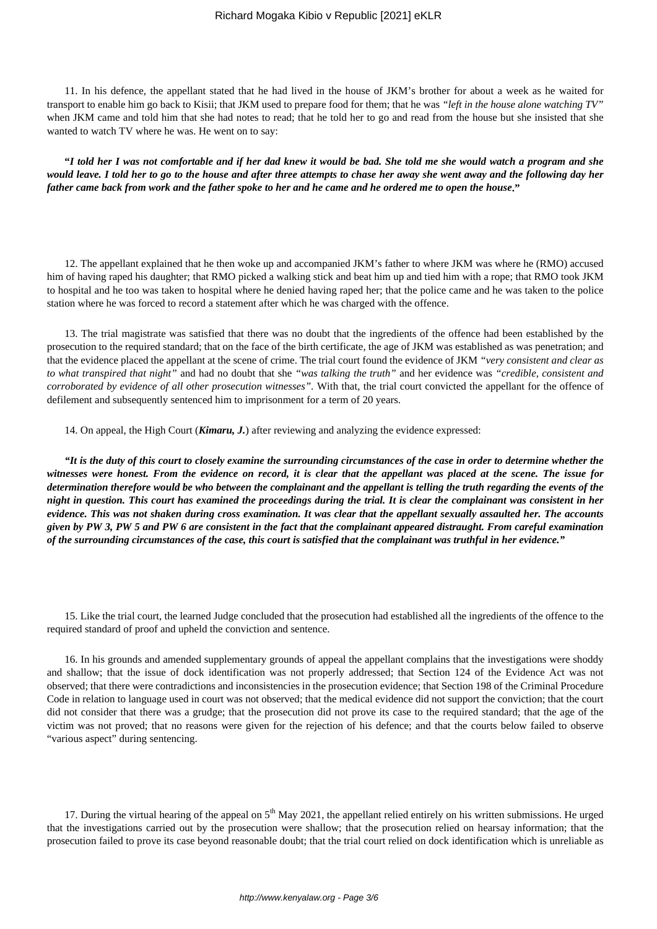11. In his defence, the appellant stated that he had lived in the house of JKM's brother for about a week as he waited for transport to enable him go back to Kisii; that JKM used to prepare food for them; that he was *"left in the house alone watching TV"* when JKM came and told him that she had notes to read; that he told her to go and read from the house but she insisted that she wanted to watch TV where he was. He went on to say:

**"***I told her I was not comfortable and if her dad knew it would be bad. She told me she would watch a program and she would leave. I told her to go to the house and after three attempts to chase her away she went away and the following day her father came back from work and the father spoke to her and he came and he ordered me to open the house***."**

12. The appellant explained that he then woke up and accompanied JKM's father to where JKM was where he (RMO) accused him of having raped his daughter; that RMO picked a walking stick and beat him up and tied him with a rope; that RMO took JKM to hospital and he too was taken to hospital where he denied having raped her; that the police came and he was taken to the police station where he was forced to record a statement after which he was charged with the offence.

13. The trial magistrate was satisfied that there was no doubt that the ingredients of the offence had been established by the prosecution to the required standard; that on the face of the birth certificate, the age of JKM was established as was penetration; and that the evidence placed the appellant at the scene of crime. The trial court found the evidence of JKM *"very consistent and clear as to what transpired that night"* and had no doubt that she *"was talking the truth"* and her evidence was *"credible, consistent and corroborated by evidence of all other prosecution witnesses".* With that, the trial court convicted the appellant for the offence of defilement and subsequently sentenced him to imprisonment for a term of 20 years.

14. On appeal, the High Court (*Kimaru, J.*) after reviewing and analyzing the evidence expressed:

*"It is the duty of this court to closely examine the surrounding circumstances of the case in order to determine whether the witnesses were honest. From the evidence on record, it is clear that the appellant was placed at the scene. The issue for determination therefore would be who between the complainant and the appellant is telling the truth regarding the events of the night in question. This court has examined the proceedings during the trial. It is clear the complainant was consistent in her evidence. This was not shaken during cross examination. It was clear that the appellant sexually assaulted her. The accounts given by PW 3, PW 5 and PW 6 are consistent in the fact that the complainant appeared distraught. From careful examination of the surrounding circumstances of the case, this court is satisfied that the complainant was truthful in her evidence."*

15. Like the trial court, the learned Judge concluded that the prosecution had established all the ingredients of the offence to the required standard of proof and upheld the conviction and sentence.

16. In his grounds and amended supplementary grounds of appeal the appellant complains that the investigations were shoddy and shallow; that the issue of dock identification was not properly addressed; that Section 124 of the Evidence Act was not observed; that there were contradictions and inconsistencies in the prosecution evidence; that Section 198 of the Criminal Procedure Code in relation to language used in court was not observed; that the medical evidence did not support the conviction; that the court did not consider that there was a grudge; that the prosecution did not prove its case to the required standard; that the age of the victim was not proved; that no reasons were given for the rejection of his defence; and that the courts below failed to observe "various aspect" during sentencing.

17. During the virtual hearing of the appeal on  $5<sup>th</sup>$  May 2021, the appellant relied entirely on his written submissions. He urged that the investigations carried out by the prosecution were shallow; that the prosecution relied on hearsay information; that the prosecution failed to prove its case beyond reasonable doubt; that the trial court relied on dock identification which is unreliable as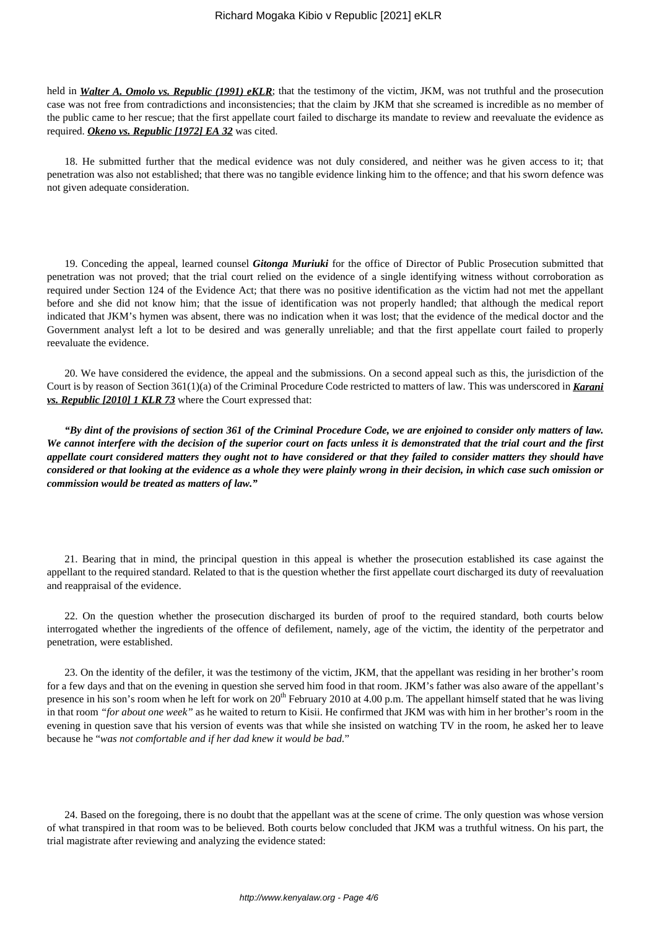held in *Walter A. Omolo vs. Republic (1991) eKLR*; that the testimony of the victim, JKM, was not truthful and the prosecution case was not free from contradictions and inconsistencies; that the claim by JKM that she screamed is incredible as no member of the public came to her rescue; that the first appellate court failed to discharge its mandate to review and reevaluate the evidence as required. *Okeno vs. Republic [1972] EA 32* was cited.

18. He submitted further that the medical evidence was not duly considered, and neither was he given access to it; that penetration was also not established; that there was no tangible evidence linking him to the offence; and that his sworn defence was not given adequate consideration.

19. Conceding the appeal, learned counsel *Gitonga Muriuki* for the office of Director of Public Prosecution submitted that penetration was not proved; that the trial court relied on the evidence of a single identifying witness without corroboration as required under Section 124 of the Evidence Act; that there was no positive identification as the victim had not met the appellant before and she did not know him; that the issue of identification was not properly handled; that although the medical report indicated that JKM's hymen was absent, there was no indication when it was lost; that the evidence of the medical doctor and the Government analyst left a lot to be desired and was generally unreliable; and that the first appellate court failed to properly reevaluate the evidence.

20. We have considered the evidence, the appeal and the submissions. On a second appeal such as this, the jurisdiction of the Court is by reason of Section 361(1)(a) of the Criminal Procedure Code restricted to matters of law. This was underscored in *Karani vs. Republic [2010] 1 KLR 73* where the Court expressed that:

*"By dint of the provisions of section 361 of the Criminal Procedure Code, we are enjoined to consider only matters of law. We cannot interfere with the decision of the superior court on facts unless it is demonstrated that the trial court and the first appellate court considered matters they ought not to have considered or that they failed to consider matters they should have considered or that looking at the evidence as a whole they were plainly wrong in their decision, in which case such omission or commission would be treated as matters of law."*

21. Bearing that in mind, the principal question in this appeal is whether the prosecution established its case against the appellant to the required standard. Related to that is the question whether the first appellate court discharged its duty of reevaluation and reappraisal of the evidence.

22. On the question whether the prosecution discharged its burden of proof to the required standard, both courts below interrogated whether the ingredients of the offence of defilement, namely, age of the victim, the identity of the perpetrator and penetration, were established.

23. On the identity of the defiler, it was the testimony of the victim, JKM, that the appellant was residing in her brother's room for a few days and that on the evening in question she served him food in that room. JKM's father was also aware of the appellant's presence in his son's room when he left for work on 20<sup>th</sup> February 2010 at 4.00 p.m. The appellant himself stated that he was living in that room *"for about one week"* as he waited to return to Kisii. He confirmed that JKM was with him in her brother's room in the evening in question save that his version of events was that while she insisted on watching TV in the room, he asked her to leave because he "*was not comfortable and if her dad knew it would be bad.*"

24. Based on the foregoing, there is no doubt that the appellant was at the scene of crime. The only question was whose version of what transpired in that room was to be believed. Both courts below concluded that JKM was a truthful witness. On his part, the trial magistrate after reviewing and analyzing the evidence stated: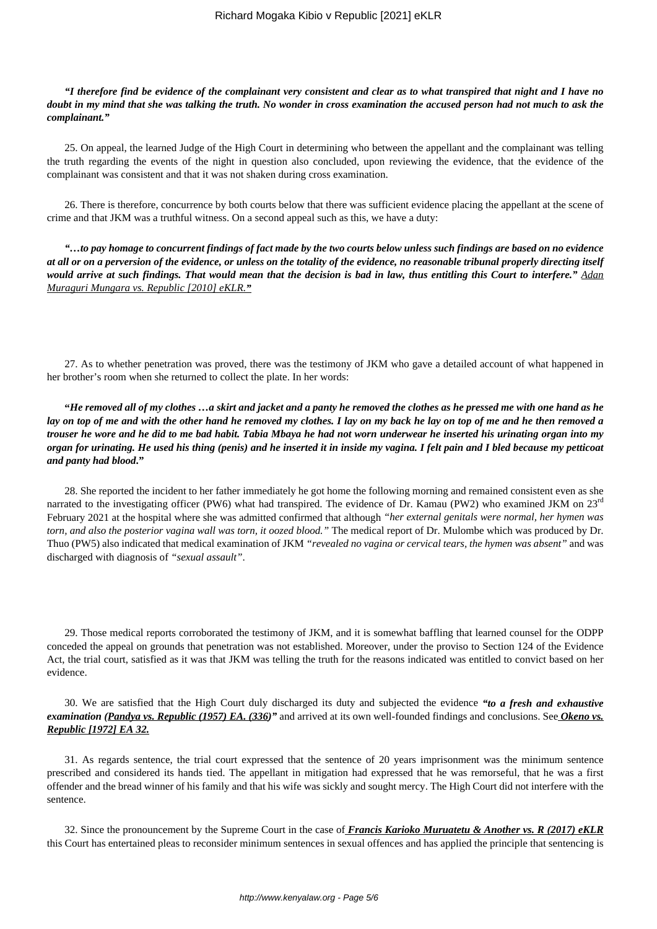*"I therefore find be evidence of the complainant very consistent and clear as to what transpired that night and I have no doubt in my mind that she was talking the truth. No wonder in cross examination the accused person had not much to ask the complainant."*

25. On appeal, the learned Judge of the High Court in determining who between the appellant and the complainant was telling the truth regarding the events of the night in question also concluded, upon reviewing the evidence, that the evidence of the complainant was consistent and that it was not shaken during cross examination.

26. There is therefore, concurrence by both courts below that there was sufficient evidence placing the appellant at the scene of crime and that JKM was a truthful witness. On a second appeal such as this, we have a duty:

*"…to pay homage to concurrent findings of fact made by the two courts below unless such findings are based on no evidence at all or on a perversion of the evidence, or unless on the totality of the evidence, no reasonable tribunal properly directing itself would arrive at such findings. That would mean that the decision is bad in law, thus entitling this Court to interfere." Adan Muraguri Mungara vs. Republic [2010] eKLR."*

27. As to whether penetration was proved, there was the testimony of JKM who gave a detailed account of what happened in her brother's room when she returned to collect the plate. In her words:

**"***He removed all of my clothes …a skirt and jacket and a panty he removed the clothes as he pressed me with one hand as he lay on top of me and with the other hand he removed my clothes. I lay on my back he lay on top of me and he then removed a trouser he wore and he did to me bad habit. Tabia Mbaya he had not worn underwear he inserted his urinating organ into my organ for urinating. He used his thing (penis) and he inserted it in inside my vagina. I felt pain and I bled because my petticoat and panty had blood***."**

28. She reported the incident to her father immediately he got home the following morning and remained consistent even as she narrated to the investigating officer (PW6) what had transpired. The evidence of Dr. Kamau (PW2) who examined JKM on  $23<sup>rd</sup>$ February 2021 at the hospital where she was admitted confirmed that although *"her external genitals were normal, her hymen was torn, and also the posterior vagina wall was torn, it oozed blood."* The medical report of Dr. Mulombe which was produced by Dr. Thuo (PW5) also indicated that medical examination of JKM *"revealed no vagina or cervical tears, the hymen was absent"* and was discharged with diagnosis of *"sexual assault"*.

29. Those medical reports corroborated the testimony of JKM, and it is somewhat baffling that learned counsel for the ODPP conceded the appeal on grounds that penetration was not established. Moreover, under the proviso to Section 124 of the Evidence Act, the trial court, satisfied as it was that JKM was telling the truth for the reasons indicated was entitled to convict based on her evidence.

30. We are satisfied that the High Court duly discharged its duty and subjected the evidence *"to a fresh and exhaustive examination (Pandya vs. Republic (1957) EA. (336)"* and arrived at its own well-founded findings and conclusions. See *Okeno vs. Republic [1972] EA 32.*

31. As regards sentence, the trial court expressed that the sentence of 20 years imprisonment was the minimum sentence prescribed and considered its hands tied. The appellant in mitigation had expressed that he was remorseful, that he was a first offender and the bread winner of his family and that his wife was sickly and sought mercy. The High Court did not interfere with the sentence.

32. Since the pronouncement by the Supreme Court in the case of *Francis Karioko Muruatetu & Another vs. R (2017) eKLR* this Court has entertained pleas to reconsider minimum sentences in sexual offences and has applied the principle that sentencing is